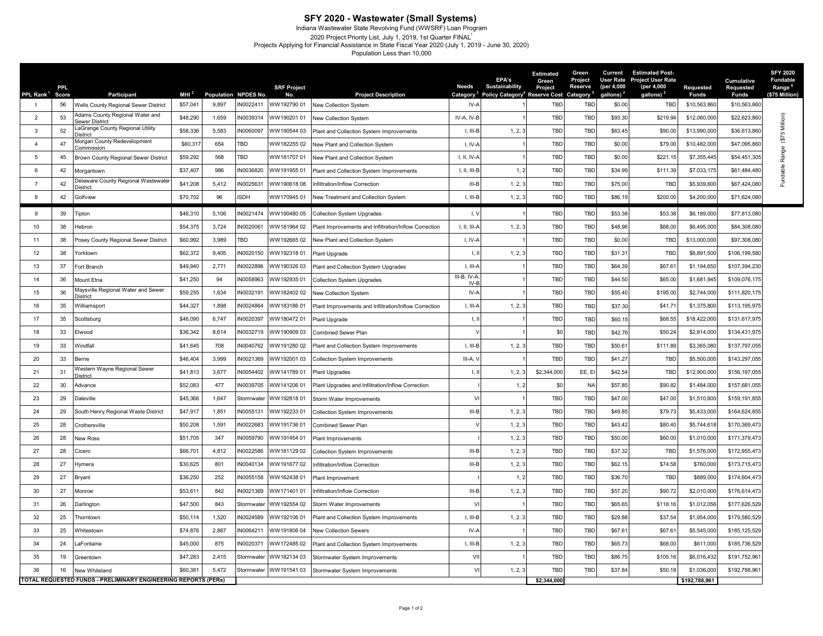## **SFY 2020 - Wastewater (Small Systems)**  Indiana Wastewater State Revolving Fund (WWSRF) Loan Program

2020 Project Priority List, July 1, 2019, 1st Quarter FINAL\* Projects Applying for Financial Assistance in State Fiscal Year 2020 (July 1, 2019 - June 30, 2020)

Population Less than 10,000

| PPL Rank <sup>1</sup> | PPI.<br>Score                                                  | Participant                                           | MHI <sup>2</sup> | Population NPDES No. |             | <b>SRF Project</b><br>No. | <b>Project Description</b>                            | Needs                 | EPA's<br><b>Sustainability</b><br>Category <sup>3</sup> Policy Category <sup>4</sup> Reserve Cost | <b>Estimated</b><br>Green<br>Project | Green<br>Project<br>Reserve<br>Category | Current<br>(per 4,000<br>gallons) <sup>2</sup> | <b>Estimated Post-</b><br>User Rate Project User Rate<br>(per 4,000<br>gallons) <sup>2</sup> | <b>Requested</b><br><b>Funds</b> | Cumulative<br>Requested<br><b>Funds</b> | <b>SFY 2020</b><br>Fundable<br>Range <sup>6</sup><br>(\$75 Million) |
|-----------------------|----------------------------------------------------------------|-------------------------------------------------------|------------------|----------------------|-------------|---------------------------|-------------------------------------------------------|-----------------------|---------------------------------------------------------------------------------------------------|--------------------------------------|-----------------------------------------|------------------------------------------------|----------------------------------------------------------------------------------------------|----------------------------------|-----------------------------------------|---------------------------------------------------------------------|
| -1                    | 56                                                             | Wells County Regional Sewer District                  | \$57,041         | 9.897                | IN0022411   | WW19279001                | New Collection System                                 | IV-A                  |                                                                                                   | TBD                                  | TBD                                     | \$0.00                                         | <b>TBD</b>                                                                                   | \$10,563,860                     | \$10,563,860                            |                                                                     |
| $\overline{2}$        | 53                                                             | Adams County Regional Water and<br>Sewer District     | \$48,290         | 1,659                | IN0039314   | WW19020101                | New Collection System                                 | IV-A, IV-E            |                                                                                                   | TBD                                  | TBD                                     | \$93.30                                        | \$219.94                                                                                     | \$12,060,000                     | \$22,623,860                            |                                                                     |
| $\mathbf{3}$          | 52                                                             | LaGrange County Regional Utility<br>District          | \$58,336         | 5,583                | IN0060097   | WW19054403                | Plant and Collection System Improvements              | I, III-B              | 1, 2, 3                                                                                           | TBD                                  | TBD                                     | \$63.45                                        | \$90.00                                                                                      | \$13,990,000                     | \$36,613,860                            | (\$75 Million)                                                      |
| $\mathbf{A}$          | 47                                                             | Morgan County Redevelopment<br>Commission             | \$60,31          | 654                  | TBD         | WW18225502                | New Plant and Collection System                       | $I. IV-A$             |                                                                                                   | TBD                                  | TBD                                     | \$0.00                                         | \$79.00                                                                                      | \$10,482,000                     | \$47,095,860                            |                                                                     |
| 5                     | 45                                                             | Brown County Regional Sewer District                  | \$59,292         | 568                  | TBD         | WW18170701                | New Plant and Collection System                       | $I, II, IV-$          |                                                                                                   | TBD                                  | <b>TBD</b>                              | \$0.00                                         | \$221.15                                                                                     | \$7,355,445                      | \$54,451,305                            | Range                                                               |
| 6                     | 42                                                             | Morgantown                                            | \$37,407         | 986                  | IN0036820   | WW19195501                | Plant and Collection System Improvements              | I, II, III-B          | 1, 2                                                                                              | TBD                                  | <b>TBD</b>                              | \$34.99                                        | \$111.39                                                                                     | \$7,033,175                      | \$61,484,480                            | Fundable                                                            |
| $\overline{7}$        | 42                                                             | Delaware County Regional Wastewate<br>District        | \$41,208         | 5,412                | N0025631    | WW19061808                | Infiltration/Inflow Correction                        | $III-B$               | 1, 2, 3                                                                                           | TBD                                  | TBD                                     | \$75.00                                        | <b>TBD</b>                                                                                   | \$5,939,600                      | \$67,424,080                            |                                                                     |
| 8                     | 42                                                             | Golfview                                              | \$70,702         | 96                   | <b>ISDH</b> | WW17094501                | New Treatment and Collection System                   | $I, III-B$            | 1, 2, 3                                                                                           | TBD                                  | TBD                                     | \$86.19                                        | \$200.00                                                                                     | \$4,200,000                      | \$71,624,080                            |                                                                     |
| 9                     | 39                                                             | Tipton                                                | \$46,310         | 5,106                | IN0021474   | WW19048005                | <b>Collection System Upgrades</b>                     | I, V                  |                                                                                                   | TBD                                  | TBD                                     | \$53.38                                        | \$53.38                                                                                      | \$6,189,000                      | \$77,813,080                            |                                                                     |
| 10                    | 38                                                             | Hebron                                                | \$54,375         | 3,724                | IN0020061   | WW181964 02               | Plant Improvements and Infiltration/Inflow Correction | $I, II, III-A$        | 1, 2, 3                                                                                           | TBD                                  | <b>TBD</b>                              | \$48.96                                        | \$68.00                                                                                      | \$6,495,000                      | \$84,308,080                            |                                                                     |
| 11                    | 38                                                             | Posey County Regional Sewer District                  | \$60,992         | 3,989                | TBD         | WW19266502                | New Plant and Collection System                       | $I. IV-A$             |                                                                                                   | TBD                                  | TBD                                     | \$0.00                                         | TBD                                                                                          | \$13,000,000                     | \$97,308,080                            |                                                                     |
| 12                    | 38                                                             | Yorktown                                              | \$62,372         | 9,405                | N0020150    | WW19231801                | Plant Upgrade                                         | 1, 1                  | 1, 2, 3                                                                                           | TBD                                  | TBD                                     | \$31.3'                                        | TBD                                                                                          | \$8,891,500                      | \$106,199,580                           |                                                                     |
| 13                    | 37                                                             | Fort Branch                                           | \$49,940         | 2,771                | IN0022896   | WW19032603                | Plant and Collection System Upgrades                  | $I, III-A$            |                                                                                                   | TBD                                  | TBD                                     | \$64.39                                        | \$67.61                                                                                      | \$1,194,650                      | \$107,394,230                           |                                                                     |
| 14                    | 36                                                             | Mount Etna                                            | \$41,250         | 94                   | IN0058963   | WW19293501                | Collection System Upgrades                            | $III-B, IV-A$<br>IV-E |                                                                                                   | TBD                                  | TBD                                     | \$44.50                                        | \$65.00                                                                                      | \$1,681,945                      | \$109,076,175                           |                                                                     |
| 15                    | 36                                                             | Maysville Regional Water and Sewer<br><b>District</b> | \$59,255         | 1,634                | IN0032191   | WW18240202                | New Collection System                                 | IV-A                  |                                                                                                   | TBD                                  | <b>TBD</b>                              | \$55.40                                        | \$195.00                                                                                     | \$2,744,000                      | \$111,820,175                           |                                                                     |
| 16                    | 35                                                             | Williamsport                                          | \$44,327         | 1,898                | IN0024864   | WW18318601                | Plant Improvements and Infiltration/Inflow Correction | $I, III-A$            | 1, 2, 3                                                                                           | TBD                                  | <b>TBD</b>                              | \$37.30                                        | \$41.71                                                                                      | \$1,375,800                      | \$113,195,975                           |                                                                     |
| 17                    | 35                                                             | Scottsburg                                            | \$46,090         | 6,747                | IN0020397   | WW18047201                | Plant Upgrade                                         | I, II                 |                                                                                                   | TBD                                  | <b>TBD</b>                              | \$60.15                                        | \$68.55                                                                                      | \$18,422,000                     | \$131,617,975                           |                                                                     |
| 18                    | 33                                                             | Elwood                                                | \$36,342         | 8,614                | IN0032719   | WW19090903                | <b>Combined Sewer Plan</b>                            |                       |                                                                                                   | \$0                                  | TBD                                     | \$42.76                                        | \$50.24                                                                                      | \$2,814,000                      | \$134,431,975                           |                                                                     |
| 19                    | 33                                                             | Windfall                                              | \$41,645         | 708                  | IN0040762   | WW19128002                | Plant and Collection System Improvements              | I, III-B              | 1, 2, 3                                                                                           | TBD                                  | TBD                                     | \$50.6                                         | \$111.89                                                                                     | \$3,365,080                      | \$137,797,055                           |                                                                     |
| 20                    | 33                                                             | Berne                                                 | \$46,404         | 3,999                | N0021369    | WW192001 03               | <b>Collection System Improvements</b>                 | III-A.                |                                                                                                   | TBD                                  | <b>TBD</b>                              | \$41.27                                        | <b>TBD</b>                                                                                   | \$5,500,000                      | \$143,297,055                           |                                                                     |
| 21                    | 31                                                             | Western Wayne Regional Sewer<br><b>District</b>       | \$41,813         | 3,677                | IN0054402   | WW14178901                | <b>Plant Upgrades</b>                                 | I, II                 | 1, 2, 3                                                                                           | \$2,344,000                          | EE, E                                   | \$42.54                                        | <b>TBD</b>                                                                                   | \$12,900,000                     | \$156,197,055                           |                                                                     |
| 22                    | 30                                                             | Advance                                               | \$52,083         | 477                  | IN0039705   | WW14120601                | Plant Upgrades and Infiltration/Inflow Correction     |                       | 1, 2                                                                                              | \$0                                  | NA                                      | \$57.85                                        | \$90.82                                                                                      | \$1,484,000                      | \$157,681,055                           |                                                                     |
| 23                    | 29                                                             | Daleville                                             | \$45,366         | 1,647                | Stormwate   | WW19281801                | Storm Water Improvements                              | V                     |                                                                                                   | TBD                                  | TBD                                     | \$47.00                                        | \$47.00                                                                                      | \$1,510,800                      | \$159,191,855                           |                                                                     |
| 24                    | 29                                                             | South Henry Regional Waste District                   | \$47,917         | 1,851                | IN0055131   | WW19223301                | <b>Collection System Improvements</b>                 | $III-B$               | 1, 2, 3                                                                                           | TBD                                  | TBD                                     | \$49.85                                        | \$79.73                                                                                      | \$5,433,000                      | \$164,624,855                           |                                                                     |
| 25                    | 28                                                             | Crothersville                                         | \$50,208         | 1,591                | IN0022683   | WW19173601                | <b>Combined Sewer Plan</b>                            |                       | 1, 2, 3                                                                                           | TBD                                  | TBD                                     | \$43.42                                        | \$80.40                                                                                      | \$5,744,618                      | \$170,369,473                           |                                                                     |
| 26                    | 28                                                             | <b>Vew Ross</b>                                       | \$51,705         | 347                  | IN0059790   | WW191454 01               | Plant Improvements                                    |                       | 1, 2, 3                                                                                           | TBD                                  | <b>TBD</b>                              | \$50.00                                        | \$60.00                                                                                      | \$1,010,000                      | \$171,379,473                           |                                                                     |
| 27                    | 28                                                             | Cicero                                                | \$66,701         | 4,812                | IN0022586   | WW18112902                | <b>Collection System Improvements</b>                 | III-B                 | 1, 2, 3                                                                                           | TBD                                  | TBD                                     | \$37.32                                        | <b>TBD</b>                                                                                   | \$1,576,000                      | \$172,955,473                           |                                                                     |
| 28                    | 27                                                             | Hymera                                                | \$30,625         | 801                  | N0040134    | WW19167702                | Infiltration/Inflow Correction                        | III-B                 | 1, 2, 3                                                                                           | TBD                                  | TBD                                     | \$62.15                                        | \$74.58                                                                                      | \$760,000                        | \$173,715,473                           |                                                                     |
| 29                    | 27                                                             | Bryant                                                | \$36,250         | 252                  | IN0055158   | WW16243801                | Plant Improvement                                     |                       | 1, 2                                                                                              | TBD                                  | TBD                                     | \$36.70                                        | TBD                                                                                          | \$889,000                        | \$174,604,473                           |                                                                     |
| 30                    | 27                                                             | Monroe                                                | \$53,611         | 842                  | IN0021369   | WW17140101                | nfiltration/Inflow Correction                         | $III-B$               | 1, 2, 3                                                                                           | TBD                                  | <b>TBD</b>                              | \$57.20                                        | \$90.72                                                                                      | \$2,010,000                      | \$176,614,473                           |                                                                     |
| 31                    | 26                                                             | Darlington                                            | \$47,500         | 843                  | Stormwate   | WW192554 02               | Storm Water Improvements                              | $\vee$                |                                                                                                   | TBD                                  | <b>TBD</b>                              | \$65.65                                        | \$118.16                                                                                     | \$1,012,056                      | \$177,626,529                           |                                                                     |
| 32                    | 25                                                             | Thorntown                                             | \$50,114         | 1,520                | IN0024589   | WW192106 01               | Plant and Collection System Improvements              | I, III-B              | 1, 2.3                                                                                            | TBD                                  | <b>TBD</b>                              | \$29.88                                        | \$37.54                                                                                      | \$1,954,000                      | \$179,580,529                           |                                                                     |
| 33                    | 25                                                             | Whitestown                                            | \$74,876         | 2.867                | IN0064211   | WW19180604                | New Collection Sewers                                 | IV-A                  |                                                                                                   | <b>TBD</b>                           | <b>TBC</b>                              | \$67.61                                        | \$67.61                                                                                      | \$5,545,000                      | \$185,125,529                           |                                                                     |
| 34                    | 24                                                             | LaFontaine                                            | \$45,000         | 875                  | IN0020371   | WW17248502                | Plant and Collection System Improvements              | $I, III-B$            | 1, 2, 3                                                                                           | TBD                                  | <b>TBD</b>                              | \$65.73                                        | \$68.00                                                                                      | \$611,000                        | \$185,736,529                           |                                                                     |
| 35                    | 19                                                             | Greentown                                             | \$47,283         | 2,415                | Stormwate   | WW18213403                | Stormwater System Improvements                        | VII                   |                                                                                                   | TBD                                  | TBD                                     | \$86.75                                        | \$105.16                                                                                     | \$6,016,432                      | \$191,752,961                           |                                                                     |
| 36                    | 16                                                             | New Whiteland                                         | \$60,381         | 5.472                | Stormwater  |                           | WW191541 03 Stormwater System Improvements            | V                     | 1, 2, 3                                                                                           | TBD                                  | TBD                                     | \$37.84                                        | \$50.18                                                                                      | \$1,036,000                      | \$192,788,961                           |                                                                     |
|                       | TOTAL REQUESTED FUNDS - PRELIMINARY ENGINEERING REPORTS (PERS) |                                                       |                  |                      |             |                           |                                                       |                       |                                                                                                   |                                      |                                         |                                                |                                                                                              | \$192,788,961                    |                                         |                                                                     |